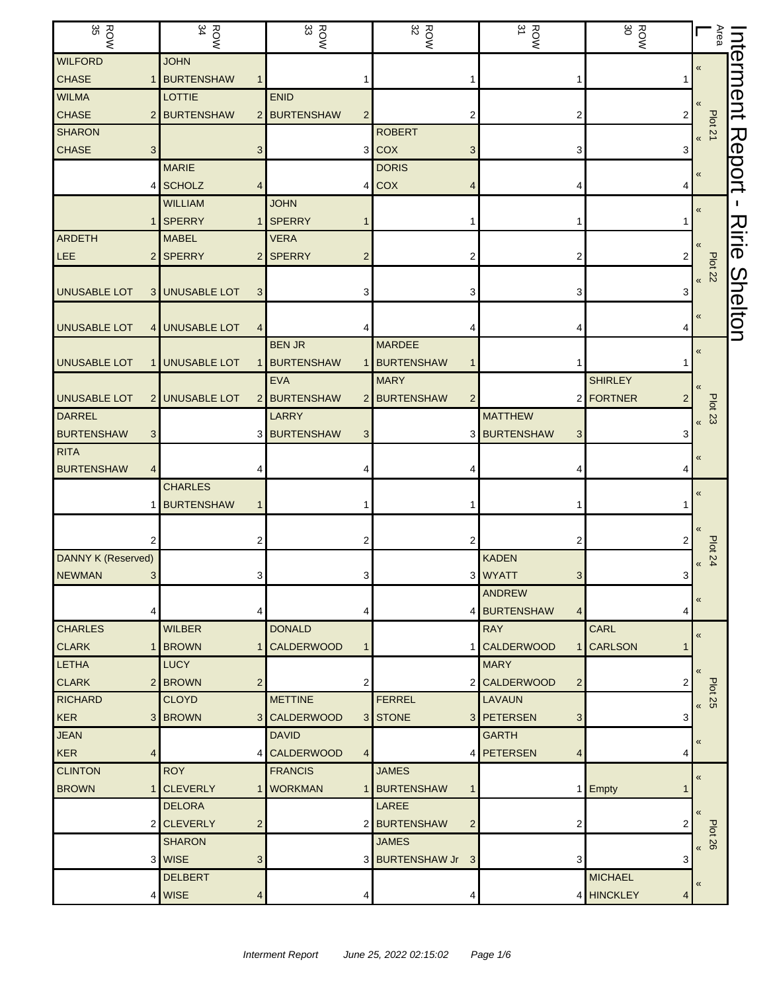| <b>ROW</b><br>35               | $\frac{ROW}{34}$                           | $\frac{ROW}{33}$                  | <b>ROW</b>           | ROW<br>31                                       | ROW<br>30       | Area<br>Г                                | nterment       |
|--------------------------------|--------------------------------------------|-----------------------------------|----------------------|-------------------------------------------------|-----------------|------------------------------------------|----------------|
| <b>WILFORD</b>                 | <b>JOHN</b>                                |                                   |                      |                                                 |                 | $\pmb{\ll}$                              |                |
| <b>CHASE</b>                   | <b>BURTENSHAW</b>                          |                                   |                      | 1                                               |                 |                                          |                |
| <b>WILMA</b>                   | LOTTIE                                     | <b>ENID</b>                       |                      |                                                 |                 |                                          |                |
| <b>CHASE</b><br>$\overline{2}$ | <b>BURTENSHAW</b>                          | 2 BURTENSHAW<br>$\overline{2}$    | 2                    | 2                                               | 2               |                                          |                |
| <b>SHARON</b>                  |                                            |                                   | <b>ROBERT</b>        |                                                 |                 | Plot 21<br>$\pmb{\langle} \pmb{\langle}$ |                |
| <b>CHASE</b><br>3              | 3                                          | 3 <sup>1</sup>                    | <b>COX</b><br>3      | 3                                               | 3               |                                          | Report         |
|                                | <b>MARIE</b>                               |                                   | <b>DORIS</b>         |                                                 |                 | $\pmb{\ll}$                              |                |
| 4                              | <b>SCHOLZ</b><br>4                         |                                   | $4$ COX              | 4                                               |                 |                                          |                |
|                                | <b>WILLIAM</b>                             | <b>JOHN</b>                       |                      |                                                 |                 | «                                        |                |
|                                | <b>SPERRY</b><br>1                         | <b>SPERRY</b>                     |                      |                                                 |                 |                                          |                |
| <b>ARDETH</b>                  | <b>MABEL</b>                               | <b>VERA</b>                       |                      |                                                 |                 |                                          | <b>Ririe</b>   |
| <b>LEE</b>                     | 2 SPERRY                                   | 2 SPERRY<br>$\overline{2}$        |                      | 2                                               |                 |                                          |                |
|                                |                                            |                                   |                      |                                                 |                 | $B$ lot 22                               |                |
| <b>UNUSABLE LOT</b>            | <b>UNUSABLE LOT</b><br>3<br>3 <sub>l</sub> | 3                                 |                      | 3                                               | 3               |                                          |                |
|                                |                                            |                                   |                      |                                                 |                 | «                                        | <b>Shelton</b> |
| <b>UNUSABLE LOT</b>            | 4 UNUSABLE LOT<br>$\overline{4}$           |                                   |                      | 4                                               |                 |                                          |                |
|                                |                                            | <b>BEN JR</b>                     | <b>MARDEE</b>        |                                                 |                 | «                                        |                |
| <b>UNUSABLE LOT</b>            | <b>UNUSABLE LOT</b>                        | <b>BURTENSHAW</b><br>1            | <b>BURTENSHAW</b>    |                                                 |                 |                                          |                |
|                                |                                            | <b>EVA</b>                        | <b>MARY</b>          |                                                 | <b>SHIRLEY</b>  |                                          |                |
| <b>UNUSABLE LOT</b>            | 2 UNUSABLE LOT                             | 2 BURTENSHAW                      | 2 BURTENSHAW<br>2    |                                                 | 2 FORTNER       |                                          |                |
| <b>DARREL</b>                  |                                            | <b>LARRY</b>                      |                      | <b>MATTHEW</b>                                  |                 | <b>Plot 23</b><br>$\pmb{\ll}$            |                |
| <b>BURTENSHAW</b>              |                                            | 3 BURTENSHAW<br>3                 |                      | 3 BURTENSHAW<br>3                               | З               |                                          |                |
| <b>RITA</b>                    |                                            |                                   |                      |                                                 |                 | $\pmb{\ll}$                              |                |
| <b>BURTENSHAW</b>              |                                            |                                   |                      | 4                                               |                 |                                          |                |
|                                | <b>CHARLES</b>                             |                                   |                      |                                                 |                 | $\pmb{\langle} \pmb{\langle}$            |                |
|                                | <b>BURTENSHAW</b><br>1                     |                                   |                      | 1                                               |                 |                                          |                |
|                                |                                            |                                   |                      |                                                 |                 |                                          |                |
|                                | 2                                          | 2                                 | 2                    | 2                                               |                 | <b>Plot 24</b>                           |                |
| <b>DANNY K (Reserved)</b>      |                                            |                                   |                      | KADEN                                           |                 | $\pmb{\langle} \pmb{\langle}$            |                |
| <b>NEWMAN</b><br>3             | 3                                          | 3                                 |                      | 3 WYATT<br>3                                    | 3               |                                          |                |
|                                |                                            |                                   |                      | <b>ANDREW</b>                                   |                 | $\pmb{\langle} \pmb{\langle}$            |                |
|                                | 4                                          | 4                                 |                      | 4 BURTENSHAW<br>$\vert 4 \vert$                 | 4               |                                          |                |
| <b>CHARLES</b>                 | <b>WILBER</b>                              | <b>DONALD</b>                     |                      | <b>RAY</b>                                      | CARL            | $\pmb{\langle} \pmb{\langle}$            |                |
| <b>CLARK</b>                   | <b>BROWN</b><br>$\mathbf 1$                | <b>CALDERWOOD</b><br>$\mathbf{1}$ |                      | 1 CALDERWOOD                                    | 1 CARLSON       |                                          |                |
| <b>LETHA</b>                   | <b>LUCY</b>                                |                                   |                      | <b>MARY</b>                                     |                 |                                          |                |
| <b>CLARK</b>                   | 2 BROWN<br>$\overline{2}$                  | 2                                 |                      | 2 CALDERWOOD<br>$\overline{c}$<br><b>LAVAUN</b> | 2               | <b>Plot 25</b>                           |                |
| <b>RICHARD</b>                 | <b>CLOYD</b><br>3 BROWN                    | <b>METTINE</b>                    | <b>FERREL</b>        |                                                 |                 | $\pmb{\kappa}$                           |                |
| <b>KER</b><br><b>JEAN</b>      |                                            | 3 CALDERWOOD<br><b>DAVID</b>      | 3 STONE              | 3 PETERSEN<br>3<br><b>GARTH</b>                 | 3               |                                          |                |
| <b>KER</b><br>4                |                                            | 4 CALDERWOOD<br>4                 |                      | 4 PETERSEN<br>4                                 | 4               | «                                        |                |
| <b>CLINTON</b>                 | <b>ROY</b>                                 | <b>FRANCIS</b>                    | <b>JAMES</b>         |                                                 |                 |                                          |                |
| <b>BROWN</b>                   | <b>CLEVERLY</b>                            | 1 WORKMAN                         | 1 BURTENSHAW         |                                                 | 1 Empty         | $\pmb{\ll}$                              |                |
|                                | <b>DELORA</b>                              |                                   | LAREE                |                                                 |                 |                                          |                |
| 2                              | <b>CLEVERLY</b><br>$\overline{c}$          |                                   | 2 BURTENSHAW<br>2    | 2                                               |                 | $\langle \langle$                        |                |
|                                | <b>SHARON</b>                              |                                   | <b>JAMES</b>         |                                                 |                 | <b>Plot 26</b>                           |                |
|                                | 3 WISE<br>3                                |                                   | 3 BURTENSHAW Jr<br>3 | 3                                               | 3               | $\pmb{\kappa}$                           |                |
|                                | <b>DELBERT</b>                             |                                   |                      |                                                 | <b>MICHAEL</b>  |                                          |                |
| 4                              | <b>WISE</b><br>4                           | 4                                 | 4                    |                                                 | 4 HINCKLEY<br>4 | $\pmb{\ll}$                              |                |
|                                |                                            |                                   |                      |                                                 |                 |                                          |                |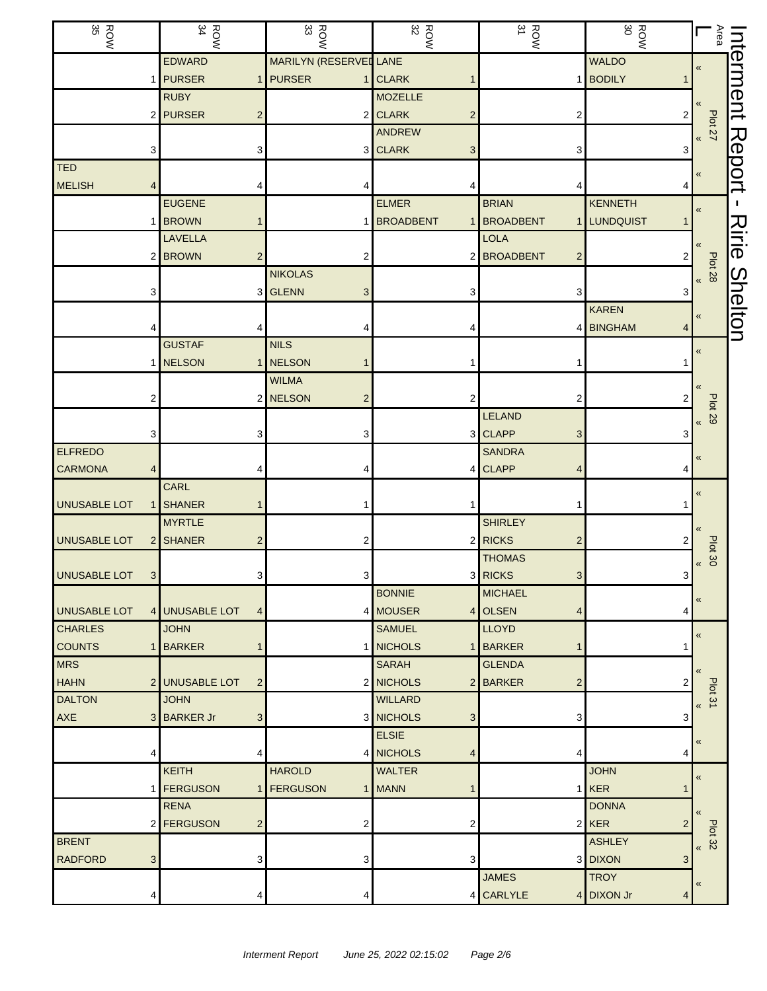| ROW<br>35           | <b>ROW</b>            | $\frac{ROW}{33}$       |                         | <b>ROW</b> | $\frac{ROW}{31}$           | ROW<br>80           | $\frac{\text{Area}}{\text{Area}}$<br>Г    | Interment      |
|---------------------|-----------------------|------------------------|-------------------------|------------|----------------------------|---------------------|-------------------------------------------|----------------|
|                     | <b>EDWARD</b>         | MARILYN (RESERVEL LANE |                         |            |                            | <b>WALDO</b>        | «                                         |                |
|                     | 1 PURSER              | 1 PURSER               | 1 CLARK                 |            |                            | 1 BODILY            |                                           |                |
|                     | <b>RUBY</b>           |                        | <b>MOZELLE</b>          |            |                            |                     |                                           |                |
|                     | 2 PURSER              | $\overline{2}$         | 2 CLARK                 | 2          | 2                          | 2                   |                                           |                |
|                     |                       |                        | ANDREW                  |            |                            |                     | <b>Plot 27</b><br>$\pmb{\kappa}$          |                |
|                     | 3                     | 3                      | 3 CLARK                 | 3          | 3                          | 3                   |                                           |                |
| <b>TED</b>          |                       |                        |                         |            |                            |                     | «                                         | Report         |
| <b>MELISH</b>       |                       | 4                      |                         |            |                            |                     |                                           |                |
|                     | <b>EUGENE</b>         |                        | <b>ELMER</b>            |            | <b>BRIAN</b>               | <b>KENNETH</b>      | «                                         |                |
|                     | 1 BROWN               |                        | <b>BROADBENT</b><br>1   |            | <b>BROADBENT</b>           | 1 LUNDQUIST         |                                           |                |
|                     | LAVELLA               |                        |                         |            | <b>LOLA</b>                |                     |                                           | Ririe          |
|                     | <b>BROWN</b><br>2     | 2                      | 2                       |            | <b>BROADBENT</b><br>2      | 2                   |                                           |                |
|                     |                       | <b>NIKOLAS</b>         |                         |            |                            |                     | Plot 28<br>> 8                            |                |
|                     | 3                     | 3 GLENN                | 3                       |            | 3                          |                     |                                           |                |
|                     |                       |                        |                         |            |                            | <b>KAREN</b>        | «                                         | <b>Shelton</b> |
|                     |                       |                        |                         |            |                            | 4 BINGHAM<br>4      |                                           |                |
|                     | <b>GUSTAF</b>         | <b>NILS</b>            |                         |            |                            |                     | $\pmb{\kappa}$                            |                |
|                     | 1 NELSON              | 1 NELSON               |                         |            |                            |                     |                                           |                |
|                     |                       | <b>WILMA</b>           |                         |            |                            |                     |                                           |                |
|                     | 2                     | 2 NELSON               | $\overline{\mathbf{c}}$ |            | 2                          |                     |                                           |                |
|                     |                       |                        |                         |            | LELAND                     |                     | <b>Plot 29</b><br>$\pmb{\kappa}$          |                |
|                     | 3                     | 3                      | 3                       |            | <b>CLAPP</b><br>3          | 3                   |                                           |                |
| <b>ELFREDO</b>      |                       |                        |                         |            | <b>SANDRA</b>              |                     | «                                         |                |
| <b>CARMONA</b>      | 4                     | 4                      |                         | 4          | <b>CLAPP</b><br>4          |                     |                                           |                |
|                     | CARL                  |                        |                         |            |                            |                     | $\pmb{\ll}$                               |                |
| <b>UNUSABLE LOT</b> | <b>SHANER</b>         |                        |                         |            |                            |                     |                                           |                |
|                     | <b>MYRTLE</b>         |                        |                         |            | <b>SHIRLEY</b>             |                     | «                                         |                |
| UNUSABLE LOT        | <b>SHANER</b><br>2    | $\overline{2}$         | 2                       |            | <b>RICKS</b><br>2          |                     |                                           |                |
|                     |                       |                        |                         |            | <b>THOMAS</b>              |                     | Plot 30<br>$\pmb{\mathcal{R}}$            |                |
| <b>UNUSABLE LOT</b> | 3                     | 3                      | 3                       |            | 3 RICKS<br>3               | 3                   |                                           |                |
|                     |                       |                        | <b>BONNIE</b>           |            | <b>MICHAEL</b>             |                     | «                                         |                |
| <b>UNUSABLE LOT</b> | 4 UNUSABLE LOT        | $\overline{4}$         | 4 MOUSER                |            | 4 OLSEN<br>4               | 4                   |                                           |                |
| <b>CHARLES</b>      | <b>JOHN</b>           |                        | <b>SAMUEL</b>           |            | <b>LLOYD</b>               |                     | $\pmb{\kappa}$                            |                |
| <b>COUNTS</b>       | <b>BARKER</b>         |                        | 1 NICHOLS               | 1          | <b>BARKER</b>              |                     |                                           |                |
| <b>MRS</b>          |                       |                        | <b>SARAH</b>            |            | <b>GLENDA</b>              |                     | $\pmb{\langle} \pmb{\langle}$             |                |
| <b>HAHN</b>         | 2 UNUSABLE LOT        | $\overline{2}$         | 2 NICHOLS               |            | 2 BARKER<br>$\overline{c}$ | 2                   |                                           |                |
| <b>DALTON</b>       | <b>JOHN</b>           |                        | <b>WILLARD</b>          |            |                            |                     | Plot 31<br>$\pmb{\kappa}$                 |                |
| <b>AXE</b>          | <b>BARKER Jr</b><br>3 | 3                      | 3 NICHOLS               | 3          | 3                          | 3                   |                                           |                |
|                     |                       |                        | <b>ELSIE</b>            |            |                            |                     | «                                         |                |
|                     | 4                     | 4                      | 4 NICHOLS               | 4          | 4                          | 4                   |                                           |                |
|                     | <b>KEITH</b>          | <b>HAROLD</b>          | <b>WALTER</b>           |            |                            | <b>JOHN</b>         | $\pmb{\kappa}$                            |                |
|                     | <b>FERGUSON</b><br>1  | 1 FERGUSON             | 1 MANN                  |            |                            | $1$ <b>KER</b><br>1 |                                           |                |
|                     | <b>RENA</b>           |                        |                         |            |                            | <b>DONNA</b>        | $\left\langle \right\rangle$              |                |
|                     | 2 <b>FERGUSON</b>     | $\overline{2}$         | 2                       | 2          |                            | $2$ <b>KER</b><br>2 |                                           |                |
| <b>BRENT</b>        |                       |                        |                         |            |                            | <b>ASHLEY</b>       | <b>Plot 32</b><br>$\overline{\mathbf{K}}$ |                |
| <b>RADFORD</b>      | 3                     | 3                      | 3                       | 3          |                            | 3 DIXON<br>3        |                                           |                |
|                     |                       |                        |                         |            | <b>JAMES</b>               | <b>TROY</b>         | «                                         |                |
|                     | 4                     | 4                      | 4                       | 4          | CARLYLE                    | 4 DIXON Jr<br>4     |                                           |                |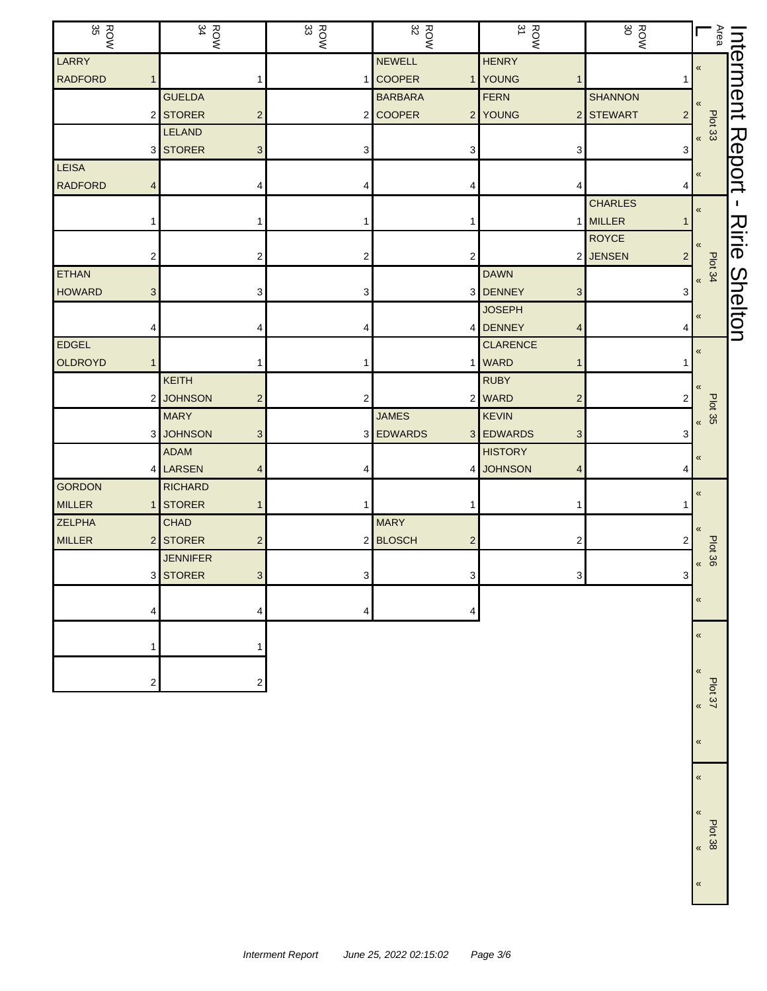| <b>ROW</b><br>35 |                | <b>ROW</b><br>34 |                         | $\frac{ROM}{33}$ | $\frac{ROW}{32}$ |                | $\frac{ROW}{31}$                      | <b>ROW</b>                  |                         | Area           | nterment       |
|------------------|----------------|------------------|-------------------------|------------------|------------------|----------------|---------------------------------------|-----------------------------|-------------------------|----------------|----------------|
| LARRY            |                |                  |                         |                  | <b>NEWELL</b>    |                | <b>HENRY</b>                          |                             | $\overline{\mathbf{K}}$ |                |                |
| <b>RADFORD</b>   |                |                  | 1                       | 1                | <b>COOPER</b>    |                | 1 YOUNG<br>1                          |                             |                         |                |                |
|                  |                | <b>GUELDA</b>    |                         |                  | <b>BARBARA</b>   |                | <b>FERN</b>                           | <b>SHANNON</b>              | «                       |                |                |
|                  |                | <b>STORER</b>    | $\mathbf 2$             |                  | 2 COOPER         |                | 2 YOUNG                               | 2 STEWART<br>$\overline{2}$ |                         | Plot 33        |                |
|                  |                | <b>LELAND</b>    |                         |                  |                  |                |                                       |                             | $\overline{\mathbf{K}}$ |                |                |
|                  | 3              | <b>STORER</b>    | 3                       | 3                |                  | 3              | 3                                     | 3                           |                         |                | Report         |
| <b>LEISA</b>     |                |                  |                         |                  |                  |                |                                       |                             | «                       |                |                |
| <b>RADFORD</b>   |                |                  | 4                       |                  |                  | 4              | 4                                     |                             |                         |                |                |
|                  |                |                  |                         |                  |                  |                |                                       | <b>CHARLES</b>              | «                       |                |                |
|                  |                |                  |                         |                  |                  |                |                                       | 1 MILLER                    |                         |                |                |
|                  |                |                  |                         |                  |                  |                |                                       | <b>ROYCE</b>                | «                       |                | <b>Nirie</b>   |
|                  |                |                  | 2                       | 2                |                  | 2              |                                       | 2 JENSEN<br>2               |                         | Plot 34        |                |
| <b>ETHAN</b>     |                |                  |                         |                  |                  |                | <b>DAWN</b>                           |                             | $\overline{\mathbf{K}}$ |                |                |
| <b>HOWARD</b>    | 3              |                  | 3                       | 3                |                  |                | 3 DENNEY<br>$\ensuremath{\mathsf{3}}$ | 3                           |                         |                |                |
|                  |                |                  |                         |                  |                  |                | <b>JOSEPH</b>                         |                             | «                       |                | <b>Shelton</b> |
|                  |                |                  | 4                       | 4                |                  |                | 4 DENNEY<br>4                         | 4                           |                         |                |                |
| EDGEL            |                |                  |                         |                  |                  |                | <b>CLARENCE</b>                       |                             | $\overline{\mathbf{X}}$ |                |                |
| OLDROYD          |                |                  | 1                       |                  |                  |                | 1 WARD<br>1                           |                             |                         |                |                |
|                  |                | <b>KEITH</b>     |                         |                  |                  |                | <b>RUBY</b>                           |                             |                         |                |                |
|                  |                | <b>JOHNSON</b>   | $\overline{c}$          | 2                |                  |                | 2 WARD<br>$\overline{\mathbf{c}}$     | 2                           |                         | <b>Plot 35</b> |                |
|                  |                | <b>MARY</b>      |                         |                  | <b>JAMES</b>     |                | <b>KEVIN</b>                          |                             | «                       |                |                |
|                  | 3              | <b>JOHNSON</b>   | 3                       |                  | 3 EDWARDS        |                | 3 EDWARDS<br>3                        | 3                           |                         |                |                |
|                  |                | <b>ADAM</b>      |                         |                  |                  |                | <b>HISTORY</b>                        |                             |                         |                |                |
|                  |                | 4 LARSEN         | 4                       | 4                |                  | 4 I            | <b>JOHNSON</b><br>4                   |                             |                         |                |                |
| <b>GORDON</b>    |                | <b>RICHARD</b>   |                         |                  |                  |                |                                       |                             | $\boldsymbol{\kappa}$   |                |                |
| <b>MILLER</b>    |                | <b>STORER</b>    | 1                       |                  |                  |                |                                       |                             |                         |                |                |
| <b>ZELPHA</b>    |                | <b>CHAD</b>      |                         |                  | <b>MARY</b>      |                |                                       |                             |                         |                |                |
| <b>MILLER</b>    | $\overline{2}$ | <b>STORER</b>    | $\overline{\mathbf{c}}$ |                  | 2 BLOSCH         | $\overline{2}$ | 2                                     |                             |                         | Plot 36        |                |
|                  |                | <b>JENNIFER</b>  |                         |                  |                  |                |                                       |                             | $\boldsymbol{\kappa}$   |                |                |
|                  |                | 3 STORER         | 3 <sup>1</sup>          | 3                |                  | 31             |                                       | 3                           |                         |                |                |
|                  |                |                  |                         |                  |                  |                |                                       |                             | «                       |                |                |
|                  | 4              |                  | 4                       | 4                |                  |                |                                       |                             |                         |                |                |
|                  |                |                  |                         |                  |                  |                |                                       |                             | «                       |                |                |
|                  |                |                  |                         |                  |                  |                |                                       |                             |                         |                |                |
|                  |                |                  |                         |                  |                  |                |                                       |                             | «                       |                |                |
|                  | 2              |                  | 2                       |                  |                  |                |                                       |                             |                         | Plot 37        |                |
|                  |                |                  |                         |                  |                  |                |                                       |                             | $\overline{\mathbf{X}}$ |                |                |

Plot 38 «

«

«

«

«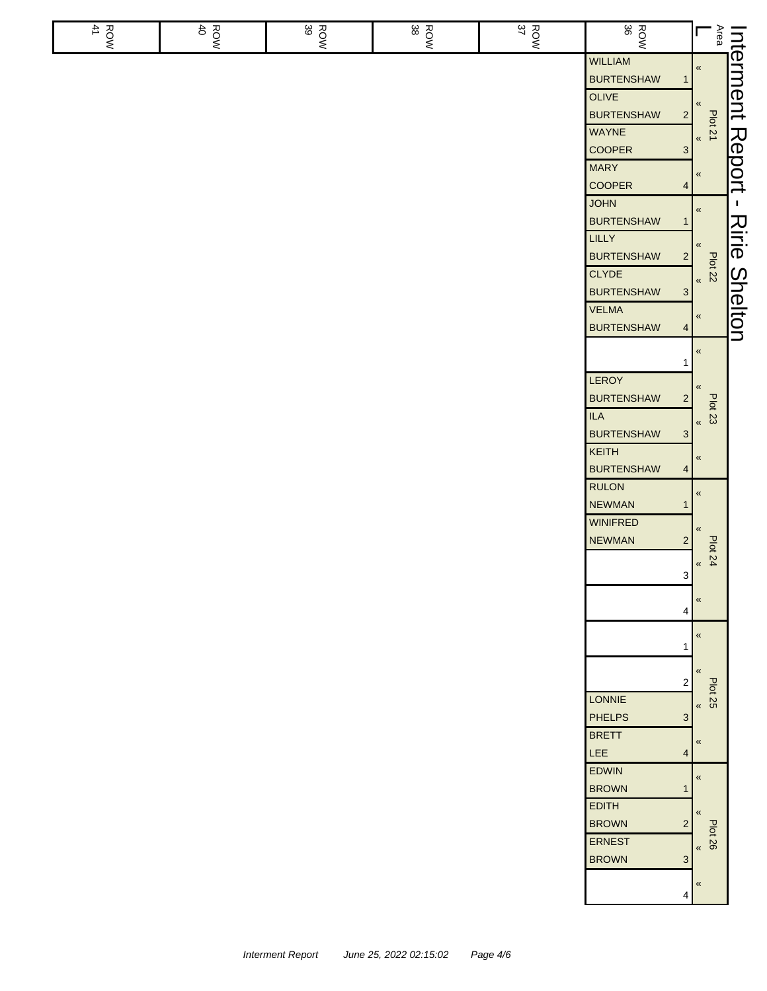| ROW<br>41 | ROW<br>40 | ROW<br>39 | ROW<br>38 | ROW<br>S7 | ROW<br>8                          |                         | Area<br>L                        |                |
|-----------|-----------|-----------|-----------|-----------|-----------------------------------|-------------------------|----------------------------------|----------------|
|           |           |           |           |           | <b>WILLIAM</b>                    |                         |                                  | nterment       |
|           |           |           |           |           | <b>BURTENSHAW</b>                 | $\mathbf 1$             | $\pmb{\mathfrak{C}}$             |                |
|           |           |           |           |           | OLIVE                             |                         |                                  |                |
|           |           |           |           |           | <b>BURTENSHAW</b>                 | $2 \mid$                | $\pmb{\ll}$                      |                |
|           |           |           |           |           | <b>WAYNE</b>                      |                         | Plot 21                          |                |
|           |           |           |           |           | <b>COOPER</b>                     | $\mathbf{3}$            | $\pmb{\kappa}$                   |                |
|           |           |           |           |           | <b>MARY</b>                       |                         |                                  | Report         |
|           |           |           |           |           | <b>COOPER</b>                     | $\overline{4}$          | $\,\,\ll$                        |                |
|           |           |           |           |           | <b>JOHN</b>                       |                         |                                  | J.             |
|           |           |           |           |           | <b>BURTENSHAW</b>                 | $\mathbf{1}$            | $\pmb{\ll}$                      |                |
|           |           |           |           |           | <b>LILLY</b>                      |                         | $\pmb{\ll}$                      | Ririe          |
|           |           |           |           |           | <b>BURTENSHAW</b>                 | $2\vert$                |                                  |                |
|           |           |           |           |           | <b>CLYDE</b>                      |                         | <b>Plot 22</b><br>$\pmb{\kappa}$ |                |
|           |           |           |           |           | <b>BURTENSHAW</b>                 | 3 <sup>1</sup>          |                                  |                |
|           |           |           |           |           | <b>VELMA</b>                      |                         | $\pmb{\langle} \pmb{\langle}$    | <b>Shelton</b> |
|           |           |           |           |           | <b>BURTENSHAW</b>                 | $\overline{4}$          |                                  |                |
|           |           |           |           |           |                                   |                         | $\pmb{\ll}$                      |                |
|           |           |           |           |           |                                   | 1                       |                                  |                |
|           |           |           |           |           | LEROY                             |                         | $\pmb{\ll}$                      |                |
|           |           |           |           |           | <b>BURTENSHAW</b>                 | $\overline{2}$          | <b>Plot 23</b>                   |                |
|           |           |           |           |           | <b>ILA</b>                        |                         | $\pmb{\mathfrak{C}}$             |                |
|           |           |           |           |           | <b>BURTENSHAW</b>                 | $\mathbf{3}$            |                                  |                |
|           |           |           |           |           | <b>KEITH</b>                      |                         | «                                |                |
|           |           |           |           |           | <b>BURTENSHAW</b><br><b>RULON</b> | $\overline{4}$          |                                  |                |
|           |           |           |           |           | <b>NEWMAN</b>                     | 1                       | $\pmb{\ll}$                      |                |
|           |           |           |           |           | <b>WINIFRED</b>                   |                         |                                  |                |
|           |           |           |           |           | <b>NEWMAN</b>                     | $\overline{2}$          | $\pmb{\ll}$                      |                |
|           |           |           |           |           |                                   |                         | Plot 24                          |                |
|           |           |           |           |           |                                   | $\mathbf{3}$            | $\pmb{\mathfrak{C}}$             |                |
|           |           |           |           |           |                                   |                         | $\pmb{\langle} \pmb{\langle}$    |                |
|           |           |           |           |           |                                   | $\overline{\mathbf{4}}$ |                                  |                |
|           |           |           |           |           |                                   |                         | $\pmb{\langle} \pmb{\langle}$    |                |
|           |           |           |           |           |                                   | $\mathbf{1}$            |                                  |                |
|           |           |           |           |           |                                   |                         | $\pmb{\langle} \pmb{\langle}$    |                |
|           |           |           |           |           |                                   | $2\vert$                | <b>Plot 25</b>                   |                |
|           |           |           |           |           | LONNIE                            |                         | $\pmb{\kappa}$                   |                |
|           |           |           |           |           | <b>PHELPS</b>                     | $\mathbf{3}$            |                                  |                |
|           |           |           |           |           | <b>BRETT</b>                      |                         | $\pmb{\ll}$                      |                |
|           |           |           |           |           | LEE                               | $\overline{4}$          |                                  |                |
|           |           |           |           |           | <b>EDWIN</b><br><b>BROWN</b>      | $\mathbf{1}$            | $\pmb{\ll}$                      |                |
|           |           |           |           |           | <b>EDITH</b>                      |                         |                                  |                |
|           |           |           |           |           | <b>BROWN</b>                      | $\overline{2}$          | $\pmb{\ll}$                      |                |
|           |           |           |           |           | <b>ERNEST</b>                     |                         | <b>Plot 26</b>                   |                |
|           |           |           |           |           | <b>BROWN</b>                      | 3                       | $\pmb{\kappa}$                   |                |
|           |           |           |           |           |                                   |                         | $\pmb{\langle} \pmb{\langle}$    |                |
|           |           |           |           |           |                                   | 4                       |                                  |                |
|           |           |           |           |           |                                   |                         |                                  |                |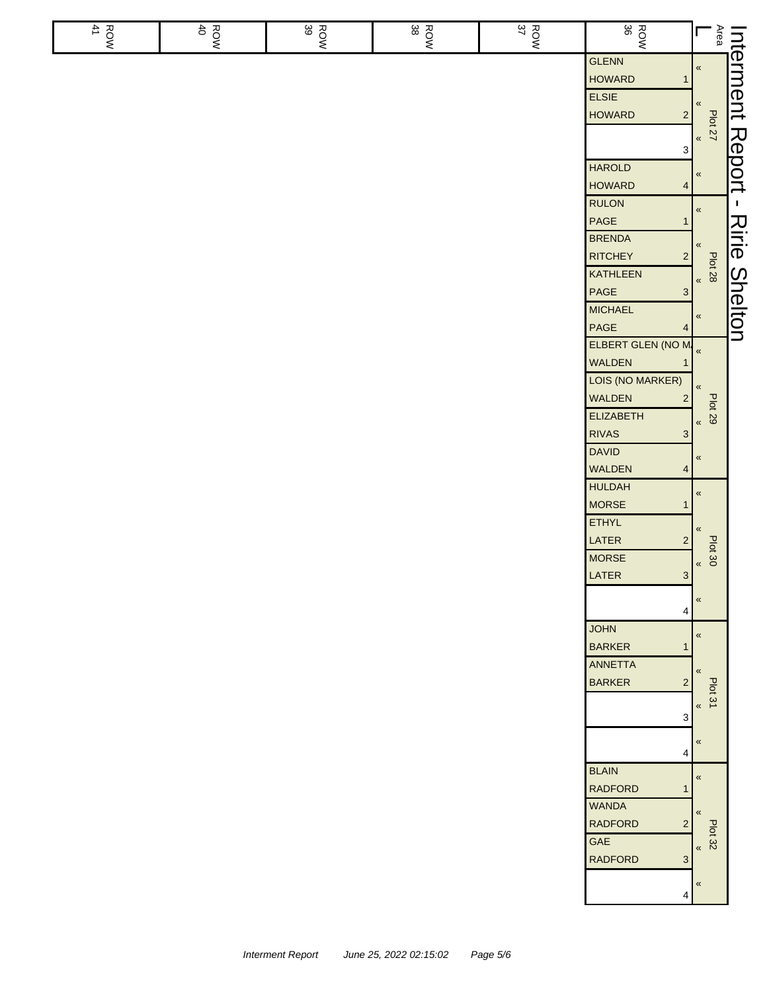| ROW | ROW<br>40 | ROW<br>39 | ROW<br>38 | <b>ROW</b><br>37 | ROW<br>8                                         | Area                             | Interment      |
|-----|-----------|-----------|-----------|------------------|--------------------------------------------------|----------------------------------|----------------|
|     |           |           |           |                  | <b>GLENN</b>                                     | $\pmb{\mathcal{R}}$              |                |
|     |           |           |           |                  | <b>HOWARD</b><br>1                               |                                  |                |
|     |           |           |           |                  | <b>ELSIE</b>                                     |                                  |                |
|     |           |           |           |                  | <b>HOWARD</b><br>$\overline{\mathbf{c}}$         |                                  |                |
|     |           |           |           |                  |                                                  | <b>Plot 27</b><br>$\pmb{\kappa}$ |                |
|     |           |           |           |                  | 3                                                |                                  |                |
|     |           |           |           |                  | <b>HAROLD</b>                                    | $\pmb{\ll}$                      | Report         |
|     |           |           |           |                  | <b>HOWARD</b><br>$\overline{4}$                  |                                  |                |
|     |           |           |           |                  | <b>RULON</b>                                     | $\pmb{\%}$                       | $\blacksquare$ |
|     |           |           |           |                  | PAGE<br>1                                        |                                  |                |
|     |           |           |           |                  | <b>BRENDA</b>                                    | «                                | Ririe          |
|     |           |           |           |                  | <b>RITCHEY</b><br>2                              | <b>Plot 28</b>                   |                |
|     |           |           |           |                  | KATHLEEN                                         | $\pmb{\kappa}$                   |                |
|     |           |           |           |                  | $\mathsf{PAGE}$<br>$\mathbf{3}$                  |                                  |                |
|     |           |           |           |                  | <b>MICHAEL</b>                                   | $\pmb{\kappa}$                   |                |
|     |           |           |           |                  | $\mathsf{PAGE}$<br>4                             |                                  | <b>Shelton</b> |
|     |           |           |           |                  | ELBERT GLEN (NO M.                               |                                  |                |
|     |           |           |           |                  | WALDEN                                           |                                  |                |
|     |           |           |           |                  | LOIS (NO MARKER)                                 | $\pmb{\mathcal{R}}$              |                |
|     |           |           |           |                  | <b>WALDEN</b><br>$\overline{2}$                  | <b>Plot 29</b>                   |                |
|     |           |           |           |                  | <b>ELIZABETH</b>                                 | $\pmb{\mathcal{R}}$              |                |
|     |           |           |           |                  | <b>RIVAS</b><br>$\mathbf{3}$<br><b>DAVID</b>     |                                  |                |
|     |           |           |           |                  | WALDEN<br>$\overline{\mathbf{4}}$                | «                                |                |
|     |           |           |           |                  | <b>HULDAH</b>                                    |                                  |                |
|     |           |           |           |                  | <b>MORSE</b><br>1                                | $\pmb{\mathfrak{C}}$             |                |
|     |           |           |           |                  | <b>ETHYL</b>                                     |                                  |                |
|     |           |           |           |                  | LATER<br>$\overline{\mathbf{c}}$                 | «                                |                |
|     |           |           |           |                  | <b>MORSE</b>                                     | Plot 30                          |                |
|     |           |           |           |                  | LATER<br>3 <sup>1</sup>                          | $\pmb{\kappa}$                   |                |
|     |           |           |           |                  |                                                  | $\pmb{\ll}$                      |                |
|     |           |           |           |                  | 4                                                |                                  |                |
|     |           |           |           |                  | <b>JOHN</b>                                      | $\pmb{\kappa}$                   |                |
|     |           |           |           |                  | <b>BARKER</b><br>1                               |                                  |                |
|     |           |           |           |                  | <b>ANNETTA</b>                                   |                                  |                |
|     |           |           |           |                  | <b>BARKER</b><br>$\overline{c}$                  | Plot 31                          |                |
|     |           |           |           |                  |                                                  | $\pmb{\langle} \pmb{\langle}$    |                |
|     |           |           |           |                  | 3                                                |                                  |                |
|     |           |           |           |                  |                                                  | $\pmb{\ll}$                      |                |
|     |           |           |           |                  | 4                                                |                                  |                |
|     |           |           |           |                  | <b>BLAIN</b>                                     | $\pmb{\ll}$                      |                |
|     |           |           |           |                  | <b>RADFORD</b>                                   |                                  |                |
|     |           |           |           |                  | <b>WANDA</b><br><b>RADFORD</b><br>$\overline{2}$ | $\overline{\mathbf{K}}$          |                |
|     |           |           |           |                  | GAE                                              | <b>Plot 32</b>                   |                |
|     |           |           |           |                  | <b>RADFORD</b><br>$\mathbf{3}$                   | $\pmb{\kappa}$                   |                |
|     |           |           |           |                  |                                                  |                                  |                |
|     |           |           |           |                  | 4                                                | «                                |                |
|     |           |           |           |                  |                                                  |                                  |                |